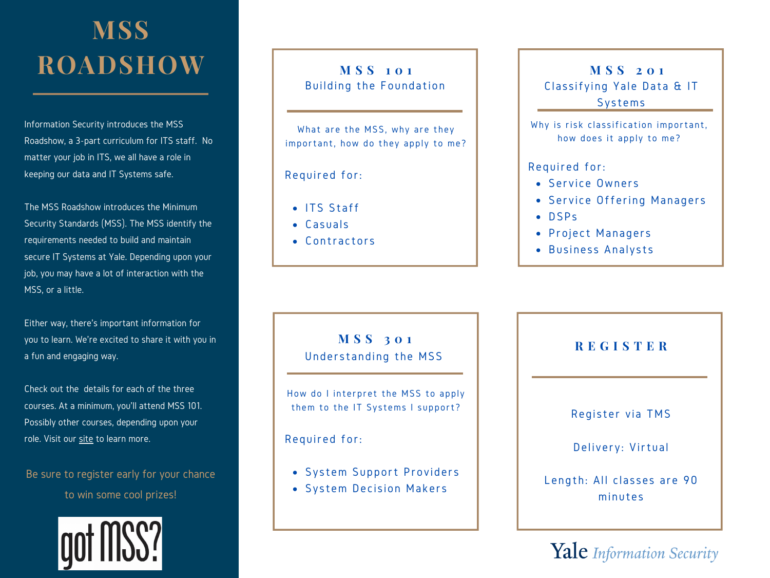## **MSS ROADSHOW**

 Information Security introduces the MSS Roadshow, a 3-part curriculum for ITS staff. No matter your job in ITS, we all have a role in keeping our data and IT Systems safe.

 The MSS Roadshow introduces the Minimum Security Standards (MSS). The MSS identify the requirements needed to build and maintain secure IT Systems at Yale. Depending upon your job, you may have a lot of interaction with the MSS, or a little.

 Either way, there's important information for you to learn. We're excited to share it with you in a fun and engaging way.

 Check out the details for each of the three courses. At a minimum, you'll attend MSS 101. Possibly other courses, depending upon your role. Visit our [site](https://cybersecurity.yale.edu/gotmss) to learn more.

 Be sure to register early for your chance to win some cool prizes!



 Building the Foundation **M S S 1 0 1**

 What are the MSS, why are they important, how do they apply to me?

Required for:

- ITS Staff
- Casuals
- Contractors

 Classifying Yale Data & IT **M S S 2 0 1** Systems

Why is risk classification important, how does it apply to me?

## Required for:

- Ser vice Owners
- Service Offering Managers
- DSPs
- Project Managers
- Business Analysts

 Understanding the MSS **M S S 3 0 1**

How do I interpret the MSS to apply them to the IT Systems I support?

Required for:

- System Support Providers
- System Decision Makers

**R E G I S T E R**

Register via TMS

Delivery: Virtual

 Length: All classes are 90 minutes